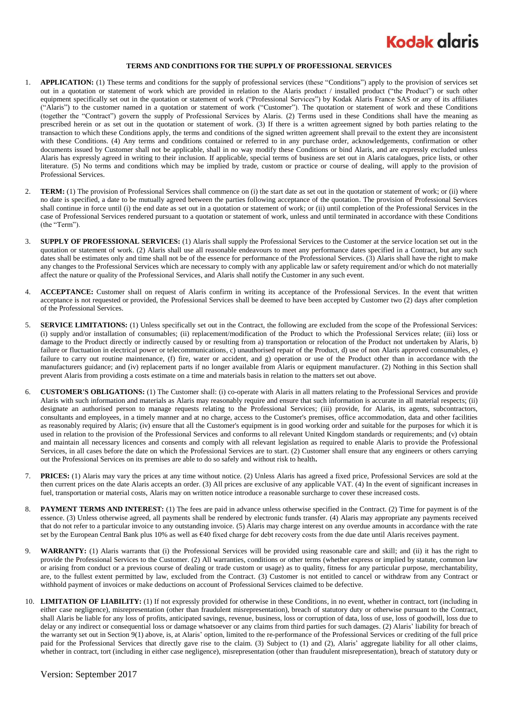

## **TERMS AND CONDITIONS FOR THE SUPPLY OF PROFESSIONAL SERVICES**

- 1. **APPLICATION:** (1) These terms and conditions for the supply of professional services (these "Conditions") apply to the provision of services set out in a quotation or statement of work which are provided in relation to the Alaris product / installed product ("the Product") or such other equipment specifically set out in the quotation or statement of work ("Professional Services") by Kodak Alaris France SAS or any of its affiliates ("Alaris") to the customer named in a quotation or statement of work ("Customer"). The quotation or statement of work and these Conditions (together the "Contract") govern the supply of Professional Services by Alaris. (2) Terms used in these Conditions shall have the meaning as prescribed herein or as set out in the quotation or statement of work. (3) If there is a written agreement signed by both parties relating to the transaction to which these Conditions apply, the terms and conditions of the signed written agreement shall prevail to the extent they are inconsistent with these Conditions. (4) Any terms and conditions contained or referred to in any purchase order, acknowledgements, confirmation or other documents issued by Customer shall not be applicable, shall in no way modify these Conditions or bind Alaris, and are expressly excluded unless Alaris has expressly agreed in writing to their inclusion. If applicable, special terms of business are set out in Alaris catalogues, price lists, or other literature. (5) No terms and conditions which may be implied by trade, custom or practice or course of dealing, will apply to the provision of Professional Services.
- 2. **TERM:** (1) The provision of Professional Services shall commence on (i) the start date as set out in the quotation or statement of work; or (ii) where no date is specified, a date to be mutually agreed between the parties following acceptance of the quotation. The provision of Professional Services shall continue in force until (i) the end date as set out in a quotation or statement of work; or (ii) until completion of the Professional Services in the case of Professional Services rendered pursuant to a quotation or statement of work, unless and until terminated in accordance with these Conditions (the "Term").
- 3. **SUPPLY OF PROFESSIONAL SERVICES:** (1) Alaris shall supply the Professional Services to the Customer at the service location set out in the quotation or statement of work. (2) Alaris shall use all reasonable endeavours to meet any performance dates specified in a Contract, but any such dates shall be estimates only and time shall not be of the essence for performance of the Professional Services. (3) Alaris shall have the right to make any changes to the Professional Services which are necessary to comply with any applicable law or safety requirement and/or which do not materially affect the nature or quality of the Professional Services, and Alaris shall notify the Customer in any such event.
- 4. **ACCEPTANCE:** Customer shall on request of Alaris confirm in writing its acceptance of the Professional Services. In the event that written acceptance is not requested or provided, the Professional Services shall be deemed to have been accepted by Customer two (2) days after completion of the Professional Services.
- 5. **SERVICE LIMITATIONS:** (1) Unless specifically set out in the Contract, the following are excluded from the scope of the Professional Services: (i) supply and/or installation of consumables; (ii) replacement/modification of the Product to which the Professional Services relate; (iii) loss or damage to the Product directly or indirectly caused by or resulting from a) transportation or relocation of the Product not undertaken by Alaris, b) failure or fluctuation in electrical power or telecommunications, c) unauthorised repair of the Product, d) use of non Alaris approved consumables, e) failure to carry out routine maintenance, (f) fire, water or accident, and g) operation or use of the Product other than in accordance with the manufacturers guidance; and (iv) replacement parts if no longer available from Alaris or equipment manufacturer. (2) Nothing in this Section shall prevent Alaris from providing a costs estimate on a time and materials basis in relation to the matters set out above.
- 6. **CUSTOMER'S OBLIGATIONS:** (1) The Customer shall: (i) co-operate with Alaris in all matters relating to the Professional Services and provide Alaris with such information and materials as Alaris may reasonably require and ensure that such information is accurate in all material respects; (ii) designate an authorised person to manage requests relating to the Professional Services; (iii) provide, for Alaris, its agents, subcontractors, consultants and employees, in a timely manner and at no charge, access to the Customer's premises, office accommodation, data and other facilities as reasonably required by Alaris; (iv) ensure that all the Customer's equipment is in good working order and suitable for the purposes for which it is used in relation to the provision of the Professional Services and conforms to all relevant United Kingdom standards or requirements; and (v) obtain and maintain all necessary licences and consents and comply with all relevant legislation as required to enable Alaris to provide the Professional Services, in all cases before the date on which the Professional Services are to start. (2) Customer shall ensure that any engineers or others carrying out the Professional Services on its premises are able to do so safely and without risk to health**.**
- 7. **PRICES:** (1) Alaris may vary the prices at any time without notice. (2) Unless Alaris has agreed a fixed price, Professional Services are sold at the then current prices on the date Alaris accepts an order. (3) All prices are exclusive of any applicable VAT. (4) In the event of significant increases in fuel, transportation or material costs, Alaris may on written notice introduce a reasonable surcharge to cover these increased costs.
- 8. **PAYMENT TERMS AND INTEREST:** (1) The fees are paid in advance unless otherwise specified in the Contract. (2) Time for payment is of the essence. (3) Unless otherwise agreed, all payments shall be rendered by electronic funds transfer. (4) Alaris may appropriate any payments received that do not refer to a particular invoice to any outstanding invoice. (5) Alaris may charge interest on any overdue amounts in accordance with the rate set by the European Central Bank plus 10% as well as €40 fixed charge for debt recovery costs from the due date until Alaris receives payment.
- 9. **WARRANTY:** (1) Alaris warrants that (i) the Professional Services will be provided using reasonable care and skill; and (ii) it has the right to provide the Professional Services to the Customer. (2) All warranties, conditions or other terms (whether express or implied by statute, common law or arising from conduct or a previous course of dealing or trade custom or usage) as to quality, fitness for any particular purpose, merchantability, are, to the fullest extent permitted by law, excluded from the Contract. (3) Customer is not entitled to cancel or withdraw from any Contract or withhold payment of invoices or make deductions on account of Professional Services claimed to be defective.
- 10. **LIMITATION OF LIABILITY:** (1) If not expressly provided for otherwise in these Conditions, in no event, whether in contract, tort (including in either case negligence), misrepresentation (other than fraudulent misrepresentation), breach of statutory duty or otherwise pursuant to the Contract, shall Alaris be liable for any loss of profits, anticipated savings, revenue, business, loss or corruption of data, loss of use, loss of goodwill, loss due to delay or any indirect or consequential loss or damage whatsoever or any claims from third parties for such damages. (2) Alaris' liability for breach of the warranty set out in Section 9(1) above, is, at Alaris' option, limited to the re-performance of the Professional Services or crediting of the full price paid for the Professional Services that directly gave rise to the claim. (3) Subject to (1) and (2), Alaris' aggregate liability for all other claims, whether in contract, tort (including in either case negligence), misrepresentation (other than fraudulent misrepresentation), breach of statutory duty or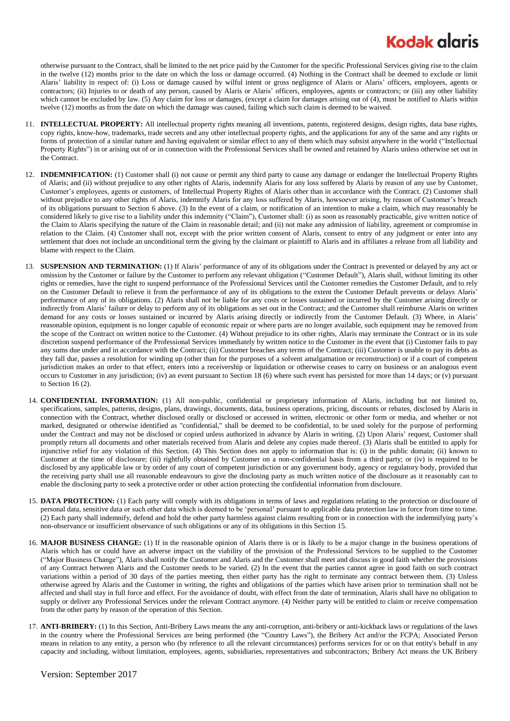## **Kodak glaris**

otherwise pursuant to the Contract, shall be limited to the net price paid by the Customer for the specific Professional Services giving rise to the claim in the twelve (12) months prior to the date on which the loss or damage occurred. (4) Nothing in the Contract shall be deemed to exclude or limit Alaris' liability in respect of: (i) Loss or damage caused by wilful intent or gross negligence of Alaris or Alaris' officers, employees, agents or contractors; (ii) Injuries to or death of any person, caused by Alaris or Alaris' officers, employees, agents or contractors; or (iii) any other liability which cannot be excluded by law. (5) Any claim for loss or damages, (except a claim for damages arising out of (4), must be notified to Alaris within twelve (12) months as from the date on which the damage was caused, failing which such claim is deemed to be waived.

- 11. **INTELLECTUAL PROPERTY:** All intellectual property rights meaning all inventions, patents, registered designs, design rights, data base rights, copy rights, know-how, trademarks, trade secrets and any other intellectual property rights, and the applications for any of the same and any rights or forms of protection of a similar nature and having equivalent or similar effect to any of them which may subsist anywhere in the world ("Intellectual Property Rights") in or arising out of or in connection with the Professional Services shall be owned and retained by Alaris unless otherwise set out in the Contract.
- 12. **INDEMNIFICATION:** (1) Customer shall (i) not cause or permit any third party to cause any damage or endanger the Intellectual Property Rights of Alaris; and (ii) without prejudice to any other rights of Alaris, indemnify Alaris for any loss suffered by Alaris by reason of any use by Customer, Customer's employees, agents or customers, of Intellectual Property Rights of Alaris other than in accordance with the Contract. (2) Customer shall without prejudice to any other rights of Alaris, indemnify Alaris for any loss suffered by Alaris, howsoever arising, by reason of Customer's breach of its obligations pursuant to Section 6 above. (3) In the event of a claim, or notification of an intention to make a claim, which may reasonably be considered likely to give rise to a liability under this indemnity ("Claim"), Customer shall: (i) as soon as reasonably practicable, give written notice of the Claim to Alaris specifying the nature of the Claim in reasonable detail; and (ii) not make any admission of liability, agreement or compromise in relation to the Claim. (4) Customer shall not, except with the prior written consent of Alaris, consent to entry of any judgment or enter into any settlement that does not include an unconditional term the giving by the claimant or plaintiff to Alaris and its affiliates a release from all liability and blame with respect to the Claim.
- 13. **SUSPENSION AND TERMINATION:** (1) If Alaris' performance of any of its obligations under the Contract is prevented or delayed by any act or omission by the Customer or failure by the Customer to perform any relevant obligation ("Customer Default"), Alaris shall, without limiting its other rights or remedies, have the right to suspend performance of the Professional Services until the Customer remedies the Customer Default, and to rely on the Customer Default to relieve it from the performance of any of its obligations to the extent the Customer Default prevents or delays Alaris' performance of any of its obligations. (2) Alaris shall not be liable for any costs or losses sustained or incurred by the Customer arising directly or indirectly from Alaris' failure or delay to perform any of its obligations as set out in the Contract; and the Customer shall reimburse Alaris on written demand for any costs or losses sustained or incurred by Alaris arising directly or indirectly from the Customer Default. (3) Where, in Alaris' reasonable opinion, equipment is no longer capable of economic repair or where parts are no longer available, such equipment may be removed from the scope of the Contract on written notice to the Customer. (4) Without prejudice to its other rights, Alaris may terminate the Contract or in its sole discretion suspend performance of the Professional Services immediately by written notice to the Customer in the event that (i) Customer fails to pay any sums due under and in accordance with the Contract; (ii) Customer breaches any terms of the Contract; (iii) Customer is unable to pay its debts as they fall due, passes a resolution for winding up (other than for the purposes of a solvent amalgamation or reconstruction) or if a court of competent jurisdiction makes an order to that effect, enters into a receivership or liquidation or otherwise ceases to carry on business or an analogous event occurs to Customer in any jurisdiction; (iv) an event pursuant to Section 18 (6) where such event has persisted for more than 14 days; or (v) pursuant to Section [16](#page-1-0) (2).
- 14. **CONFIDENTIAL INFORMATION:** (1) All non-public, confidential or proprietary information of Alaris, including but not limited to, specifications, samples, patterns, designs, plans, drawings, documents, data, business operations, pricing, discounts or rebates, disclosed by Alaris in connection with the Contract, whether disclosed orally or disclosed or accessed in written, electronic or other form or media, and whether or not marked, designated or otherwise identified as "confidential," shall be deemed to be confidential, to be used solely for the purpose of performing under the Contract and may not be disclosed or copied unless authorized in advance by Alaris in writing. (2) Upon Alaris' request, Customer shall promptly return all documents and other materials received from Alaris and delete any copies made thereof. (3) Alaris shall be entitled to apply for injunctive relief for any violation of this Section. (4) This Section does not apply to information that is: (i) in the public domain; (ii) known to Customer at the time of disclosure; (iii) rightfully obtained by Customer on a non-confidential basis from a third party; or (iv) is required to be disclosed by any applicable law or by order of any court of competent jurisdiction or any government body, agency or regulatory body, provided that the receiving party shall use all reasonable endeavours to give the disclosing party as much written notice of the disclosure as it reasonably can to enable the disclosing party to seek a protective order or other action protecting the confidential information from disclosure.
- <span id="page-1-1"></span>15. **DATA PROTECTION:** (1) Each party will comply with its obligations in terms of laws and regulations relating to the protection or disclosure of personal data, sensitive data or such other data which is deemed to be 'personal' pursuant to applicable data protection law in force from time to time. (2) Each party shall indemnify, defend and hold the other party harmless against claims resulting from or in connection with the indemnifying party's non-observance or insufficient observance of such obligations or any of its obligations in this Sectio[n 15.](#page-1-1)
- <span id="page-1-0"></span>16. **MAJOR BUSINESS CHANGE:** (1) If in the reasonable opinion of Alaris there is or is likely to be a major change in the business operations of Alaris which has or could have an adverse impact on the viability of the provision of the Professional Services to be supplied to the Customer ("Major Business Change"), Alaris shall notify the Customer and Alaris and the Customer shall meet and discuss in good faith whether the provisions of any Contract between Alaris and the Customer needs to be varied. (2) In the event that the parties cannot agree in good faith on such contract variations within a period of 30 days of the parties meeting, then either party has the right to terminate any contract between them. (3) Unless otherwise agreed by Alaris and the Customer in writing, the rights and obligations of the parties which have arisen prior to termination shall not be affected and shall stay in full force and effect. For the avoidance of doubt, with effect from the date of termination, Alaris shall have no obligation to supply or deliver any Professional Services under the relevant Contract anymore. (4) Neither party will be entitled to claim or receive compensation from the other party by reason of the operation of this Section.
- 17. **ANTI-BRIBERY:** (1) In this Section, Anti-Bribery Laws means the any anti-corruption, anti-bribery or anti-kickback laws or regulations of the laws in the country where the Professional Services are being performed (the "Country Laws"), the Bribery Act and/or the FCPA; Associated Person means in relation to any entity, a person who (by reference to all the relevant circumstances) performs services for or on that entity's behalf in any capacity and including, without limitation, employees, agents, subsidiaries, representatives and subcontractors; Bribery Act means the UK Bribery